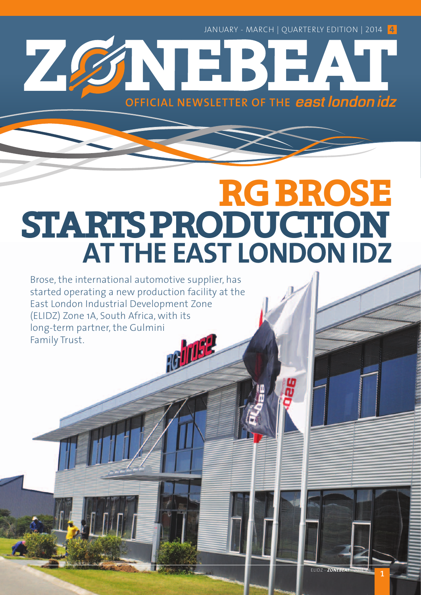JANUARY - MARCH | QUARTERLY EDITION | 2014 **4**

**OFFICIAL NEWSLETTER OF THE east london idz** 

E13) E7

# **RG BROSE STARTS PRODUCTION AT THE EAST LONDON IDZ**

Brose, the international automotive supplier, has started operating a new production facility at the East London Industrial Development Zone (ELIDZ) Zone 1A, South Africa, with its long-term partner, the Gulmini Family Trust.

Z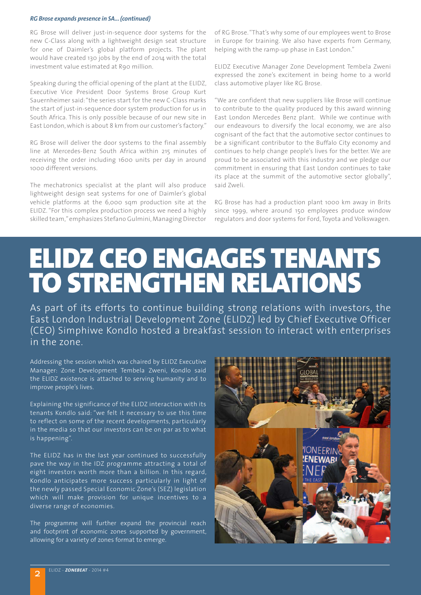#### *RG Brose expands presence in SA... (continued)*

RG Brose will deliver just-in-sequence door systems for the new C-Class along with a lightweight design seat structure for one of Daimler's global platform projects. The plant would have created 130 jobs by the end of 2014 with the total investment value estimated at R90 million.

Speaking during the official opening of the plant at the ELIDZ, Executive Vice President Door Systems Brose Group Kurt Sauernheimer said: "the series start for the new C-Class marks the start of just-in-sequence door system production for us in South Africa. This is only possible because of our new site in East London, which is about 8 km from our customer's factory."

RG Brose will deliver the door systems to the final assembly line at Mercedes-Benz South Africa within 215 minutes of receiving the order including 1600 units per day in around 1000 different versions.

The mechatronics specialist at the plant will also produce lightweight design seat systems for one of Daimler's global vehicle platforms at the 6,000 sqm production site at the ELIDZ. "For this complex production process we need a highly skilled team," emphasizes Stefano Gulmini, Managing Director of RG Brose. "That's why some of our employees went to Brose in Europe for training. We also have experts from Germany, helping with the ramp-up phase in East London."

ELIDZ Executive Manager Zone Development Tembela Zweni expressed the zone's excitement in being home to a world class automotive player like RG Brose.

"We are confident that new suppliers like Brose will continue to contribute to the quality produced by this award winning East London Mercedes Benz plant. While we continue with our endeavours to diversify the local economy, we are also cognisant of the fact that the automotive sector continues to be a significant contributor to the Buffalo City economy and continues to help change people's lives for the better. We are proud to be associated with this industry and we pledge our commitment in ensuring that East London continues to take its place at the summit of the automotive sector globally", said Zweli.

RG Brose has had a production plant 1000 km away in Brits since 1999, where around 150 employees produce window regulators and door systems for Ford, Toyota and Volkswagen.

# ELIDZ CEO ENGAGES TENANTS TO STRENGTHEN RELATIONS

As part of its efforts to continue building strong relations with investors, the East London Industrial Development Zone (ELIDZ) led by Chief Executive Officer (CEO) Simphiwe Kondlo hosted a breakfast session to interact with enterprises in the zone.

Addressing the session which was chaired by ELIDZ Executive Manager: Zone Development Tembela Zweni, Kondlo said the ELIDZ existence is attached to serving humanity and to improve people's lives.

Explaining the significance of the ELIDZ interaction with its tenants Kondlo said: "we felt it necessary to use this time to reflect on some of the recent developments, particularly in the media so that our investors can be on par as to what is happening".

The ELIDZ has in the last year continued to successfully pave the way in the IDZ programme attracting a total of eight investors worth more than a billion. In this regard, Kondlo anticipates more success particularly in light of the newly passed Special Economic Zone's (SEZ) legislation which will make provision for unique incentives to a diverse range of economies.

The programme will further expand the provincial reach and footprint of economic zones supported by government, allowing for a variety of zones format to emerge.

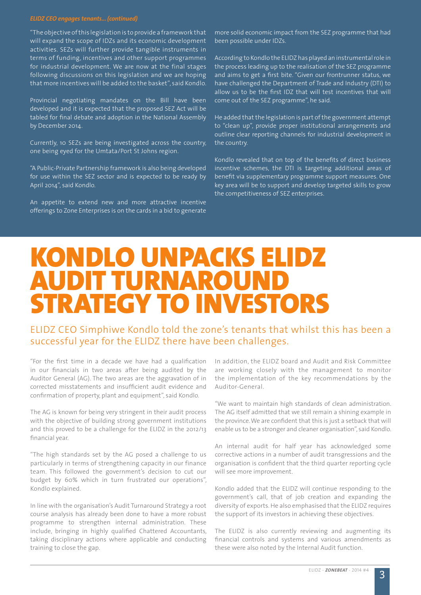#### *ELIDZ CEO engages tenants... (continued)*

"The objective of this legislation is to provide a framework that will expand the scope of IDZs and its economic development activities. SEZs will further provide tangible instruments in terms of funding, incentives and other support programmes for industrial development. We are now at the final stages following discussions on this legislation and we are hoping that more incentives will be added to the basket", said Kondlo.

Provincial negotiating mandates on the Bill have been developed and it is expected that the proposed SEZ Act will be tabled for final debate and adoption in the National Assembly by December 2014.

Currently, 10 SEZs are being investigated across the country, one being eyed for the Umtata/Port St Johns region.

"A Public-Private Partnership framework is also being developed for use within the SEZ sector and is expected to be ready by April 2014", said Kondlo.

An appetite to extend new and more attractive incentive offerings to Zone Enterprises is on the cards in a bid to generate more solid economic impact from the SEZ programme that had been possible under IDZs.

According to Kondlo the ELIDZ has played an instrumental role in the process leading up to the realisation of the SEZ programme and aims to get a first bite. "Given our frontrunner status, we have challenged the Department of Trade and Industry (DTI) to allow us to be the first IDZ that will test incentives that will come out of the SEZ programme", he said.

He added that the legislation is part of the government attempt to "clean up", provide proper institutional arrangements and outline clear reporting channels for industrial development in the country.

Kondlo revealed that on top of the benefits of direct business incentive schemes, the DTI is targeting additional areas of benefit via supplementary programme support measures. One key area will be to support and develop targeted skills to grow the competitiveness of SEZ enterprises.

### KONDLO UNPACKS ELIDZ AUDIT TURNAROUND STRATEGY TO INVESTORS

ELIDZ CEO Simphiwe Kondlo told the zone's tenants that whilst this has been a successful year for the ELIDZ there have been challenges.

"For the first time in a decade we have had a qualification in our financials in two areas after being audited by the Auditor General (AG). The two areas are the aggravation of in corrected misstatements and insufficient audit evidence and confirmation of property, plant and equipment", said Kondlo.

The AG is known for being very stringent in their audit process with the objective of building strong government institutions and this proved to be a challenge for the ELIDZ in the 2012/13 financial year.

"The high standards set by the AG posed a challenge to us particularly in terms of strengthening capacity in our finance team. This followed the government's decision to cut our budget by 60% which in turn frustrated our operations", Kondlo explained.

In line with the organisation's Audit Turnaround Strategy a root course analysis has already been done to have a more robust programme to strengthen internal administration. These include, bringing in highly qualified Chattered Accountants, taking disciplinary actions where applicable and conducting training to close the gap.

In addition, the ELIDZ board and Audit and Risk Committee are working closely with the management to monitor the implementation of the key recommendations by the Auditor-General.

"We want to maintain high standards of clean administration. The AG itself admitted that we still remain a shining example in the province. We are confident that this is just a setback that will enable us to be a stronger and cleaner organisation", said Kondlo.

An internal audit for half year has acknowledged some corrective actions in a number of audit transgressions and the organisation is confident that the third quarter reporting cycle will see more improvement.

Kondlo added that the ELIDZ will continue responding to the government's call, that of job creation and expanding the diversity of exports. He also emphasised that the ELIDZ requires the support of its investors in achieving these objectives.

The ELIDZ is also currently reviewing and augmenting its financial controls and systems and various amendments as these were also noted by the Internal Audit function.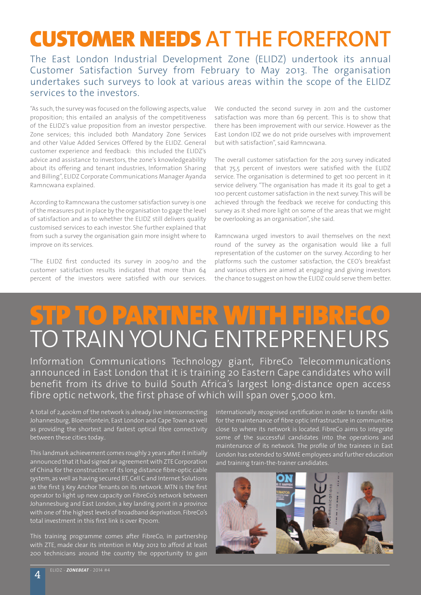## CUSTOMER NEEDS **AT THE FOREFRONT**

### The East London Industrial Development Zone (ELIDZ) undertook its annual Customer Satisfaction Survey from February to May 2013. The organisation undertakes such surveys to look at various areas within the scope of the ELIDZ services to the investors.

"As such, the survey was focused on the following aspects, value proposition; this entailed an analysis of the competitiveness of the ELIDZ's value proposition from an investor perspective. Zone services; this included both Mandatory Zone Services and other Value Added Services Offered by the ELIDZ. General customer experience and feedback: this included the ELIDZ's advice and assistance to investors, the zone's knowledgeability about its offering and tenant industries, Information Sharing and Billing", ELIDZ Corporate Communications Manager Ayanda Ramncwana explained.

According to Ramncwana the customer satisfaction survey is one of the measures put in place by the organisation to gage the level of satisfaction and as to whether the ELIDZ still delivers quality customised services to each investor. She further explained that from such a survey the organisation gain more insight where to improve on its services.

"The ELIDZ first conducted its survey in 2009/10 and the customer satisfaction results indicated that more than 64 percent of the investors were satisfied with our services. We conducted the second survey in 2011 and the customer satisfaction was more than 69 percent. This is to show that there has been improvement with our service. However as the East London IDZ we do not pride ourselves with improvement but with satisfaction", said Ramncwana.

The overall customer satisfaction for the 2013 survey indicated that 75,5 percent of investors were satisfied with the ELIDZ service. The organisation is determined to get 100 percent in it service delivery. "The organisation has made it its goal to get a 100 percent customer satisfaction in the next survey. This will be achieved through the feedback we receive for conducting this survey as it shed more light on some of the areas that we might be overlooking as an organisation", she said.

Ramncwana urged investors to avail themselves on the next round of the survey as the organisation would like a full representation of the customer on the survey. According to her platforms such the customer satisfaction, the CEO's breakfast and various others are aimed at engaging and giving investors the chance to suggest on how the ELIDZ could serve them better.

### STP TO PARTNER WITH FIBRECO TO TRAIN YOUNG ENTREPRENEURS

Information Communications Technology giant, FibreCo Telecommunications announced in East London that it is training 20 Eastern Cape candidates who will benefit from its drive to build South Africa's largest long-distance open access fibre optic network, the first phase of which will span over 5,000 km.

A total of 2,400km of the network is already live interconnecting Johannesburg, Bloemfontein, East London and Cape Town as well as providing the shortest and fastest optical fibre connectivity between these cities today..

This landmark achievement comes roughly 2 years after it initially announced that it had signed an agreement with ZTE Corporation of China for the construction of its long distance fibre-optic cable system, as well as having secured BT, Cell C and Internet Solutions as the first 3 Key Anchor Tenants on its network. MTN is the first operator to light up new capacity on FibreCo's network between Johannesburg and East London, a key landing point in a province with one of the highest levels of broadband deprivation. FibreCo's total investment in this first link is over R700m.

This training programme comes after FibreCo, in partnership with ZTE, made clear its intention in May 2012 to afford at least 200 technicians around the country the opportunity to gain internationally recognised certification in order to transfer skills for the maintenance of fibre optic infrastructure in communities close to where its network is located. FibreCo aims to integrate some of the successful candidates into the operations and maintenance of its network. The profile of the trainees in East London has extended to SMME employees and further education and training train-the-trainer candidates.

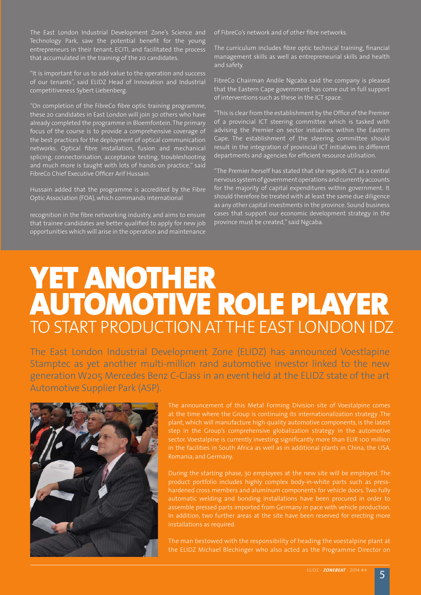The East London Industrial Development Zone's Science and Technology Park, saw the potential benefit for the young entrepreneurs in their tenant, ECITI, and facilitated the process that accumulated in the training of the 20 candidates.

"It is important for us to add value to the operation and success of our tenants", said ELIDZ Head of Innovation and Industrial competitiveness Sybert Liebenberg.

"On completion of the FibreCo fibre optic training programme, these 20 candidates in East London will join 30 others who have already completed the programme in Bloemfontein. The primary focus of the course is to provide a comprehensive coverage of the best practices for the deployment of optical communication networks. Optical fibre installation, fusion and mechanical splicing, connectorisation, acceptance testing, troubleshooting and much more is taught with lots of hands-on practice," said FibreCo Chief Executive Officer Arif Hussain.

Hussain added that the programme is accredited by the Fibre Optic Association (FOA), which commands international

recognition in the fibre networking industry, and aims to ensure that trainee candidates are better qualified to apply for new job opportunities which will arise in the operation and maintenance

of FibreCo's network and of other fibre networks.

The curriculum includes fibre optic technical training, financial management skills as well as entrepreneurial skills and health and safety.

FibreCo Chairman Andile Ngcaba said the company is pleased that the Eastern Cape government has come out in full support of interventions such as these in the ICT space.

"This is clear from the establishment by the Office of the Premier of a provincial ICT steering committee which is tasked with advising the Premier on sector initiatives within the Eastern Cape. The establishment of the steering committee should result in the integration of provincial ICT initiatives in different departments and agencies for efficient resource utilisation.

"The Premier herself has stated that she regards ICT as a central nervous system of government operations and currently accounts for the majority of capital expenditures within government. It should therefore be treated with at least the same due diligence as any other capital investments in the province. Sound business cases that support our economic development strategy in the province must be created," said Ngcaba.

### YET ANOTHER AUTOMOTIVE ROLE PLAYER TO START PRODUCTION AT THE EAST LONDON IDZ

The East London Industrial Development Zone (ELIDZ) has announced Voestlapine Stamptec as yet another multi-million rand automotive investor linked to the new generation W205 Mercedes Benz C-Class in an event held at the ELIDZ state of the art Automotive Supplier Park (ASP).



at the time where the Group is continuing its internationalization strategy .The plant, which will manufacture high-quality automotive components, is the latest step in the Group's comprehensive globalization strategy in the automotive

During the starting phase, 30 employees at the new site will be employed. The product portfolio includes highly complex body-in-white parts such as press-

the ELIDZ Michael Blechinger who also acted as the Programme Director on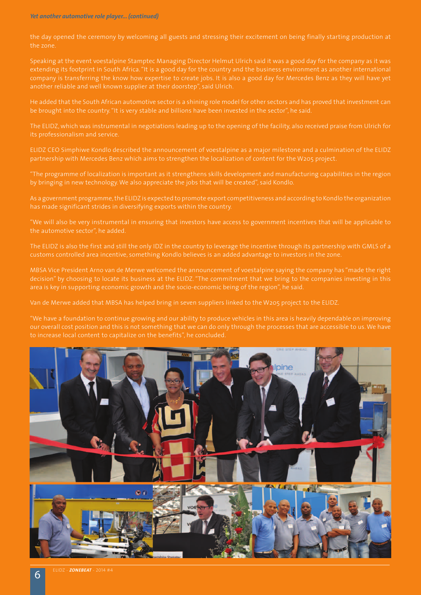#### *Yet another automotive role player... (continued)*

the day opened the ceremony by welcoming all guests and stressing their excitement on being finally starting production at the zone.

Speaking at the event voestalpine Stamptec Managing Director Helmut Ulrich said it was a good day for the company as it was extending its footprint in South Africa. "It is a good day for the country and the business environment as another international another reliable and well known supplier at their doorstep", said Ulrich.

The ELIDZ, which was instrumental in negotiations leading up to the opening of the facility, also received praise from Ulrich for

partnership with Mercedes Benz which aims to strengthen the localization of content for the W205 project.

by bringing in new technology. We also appreciate the jobs that will be created", said Kondlo.

As a government programme, the ELIDZ is expected to promote export competitiveness and according to Kondlo the organization

"We will also be very instrumental in ensuring that investors have access to government incentives that will be applicable to the automotive sector", he added.

area is key in supporting economic growth and the socio-economic being of the region", he said.

Van de Merwe added that MBSA has helped bring in seven suppliers linked to the W205 project to the ELIDZ.

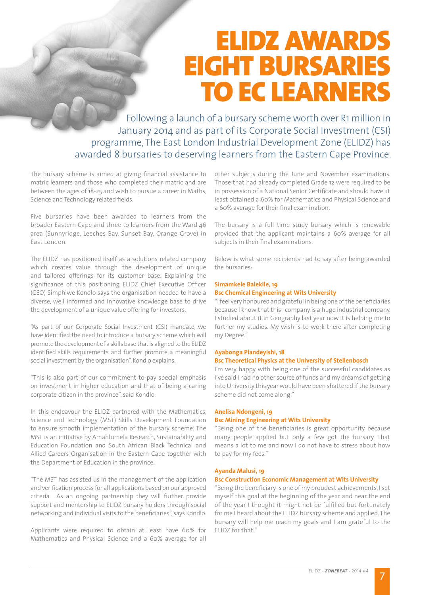## ELIDZ AWARDS EIGHT BURSARIES TO EC LEARNERS

Following a launch of a bursary scheme worth over R1 million in January 2014 and as part of its Corporate Social Investment (CSI) programme, The East London Industrial Development Zone (ELIDZ) has awarded 8 bursaries to deserving learners from the Eastern Cape Province.

The bursary scheme is aimed at giving financial assistance to matric learners and those who completed their matric and are between the ages of 18-25 and wish to pursue a career in Maths, Science and Technology related fields.

Five bursaries have been awarded to learners from the broader Eastern Cape and three to learners from the Ward 46 area (Sunnyridge, Leeches Bay, Sunset Bay, Orange Grove) in East London.

The ELIDZ has positioned itself as a solutions related company which creates value through the development of unique and tailored offerings for its customer base. Explaining the significance of this positioning ELIDZ Chief Executive Officer (CEO) Simphiwe Kondlo says the organisation needed to have a diverse, well informed and innovative knowledge base to drive the development of a unique value offering for investors.

"As part of our Corporate Social Investment (CSI) mandate, we have identified the need to introduce a bursary scheme which will promote the development of a skills base that is aligned to the ELIDZ identified skills requirements and further promote a meaningful social investment by the organisation", Kondlo explains.

"This is also part of our commitment to pay special emphasis on investment in higher education and that of being a caring corporate citizen in the province", said Kondlo.

In this endeavour the ELIDZ partnered with the Mathematics, Science and Technology (MST) Skills Development Foundation to ensure smooth implementation of the bursary scheme. The MST is an initiative by Amahlumela Research, Sustainability and Education Foundation and South African Black Technical and Allied Careers Organisation in the Eastern Cape together with the Department of Education in the province.

"The MST has assisted us in the management of the application and verification process for all applications based on our approved criteria. As an ongoing partnership they will further provide support and mentorship to ELIDZ bursary holders through social networking and individual visits to the beneficiaries", says Kondlo.

Applicants were required to obtain at least have 60% for Mathematics and Physical Science and a 60% average for all other subjects during the June and November examinations. Those that had already completed Grade 12 were required to be in possession of a National Senior Certificate and should have at least obtained a 60% for Mathematics and Physical Science and a 60% average for their final examination.

The bursary is a full time study bursary which is renewable provided that the applicant maintains a 60% average for all subjects in their final examinations.

Below is what some recipients had to say after being awarded the bursaries:

#### **Simamkele Balekile, 19 Bsc Chemical Engineering at Wits University**

"I feel very honoured and grateful in being one of the beneficiaries because I know that this company is a huge industrial company. I studied about it in Geography last year now it is helping me to further my studies. My wish is to work there after completing my Degree."

#### **Ayabonga Plandeyishi, 18 Bsc Theoretical Physics at the University of Stellenbosch**

I'm very happy with being one of the successful candidates as I've said I had no other source of funds and my dreams of getting into University this year would have been shattered if the bursary scheme did not come along."

#### **Anelisa Ndongeni, 19**

#### **Bsc Mining Engineering at Wits University**

"Being one of the beneficiaries is great opportunity because many people applied but only a few got the bursary. That means a lot to me and now I do not have to stress about how to pay for my fees."

#### **Ayanda Malusi, 19**

#### **Bsc Construction Economic Management at Wits University**

"Being the beneficiary is one of my proudest achievements. I set myself this goal at the beginning of the year and near the end of the year I thought it might not be fulfilled but fortunately for me I heard about the ELIDZ bursary scheme and applied. The bursary will help me reach my goals and I am grateful to the ELIDZ for that."